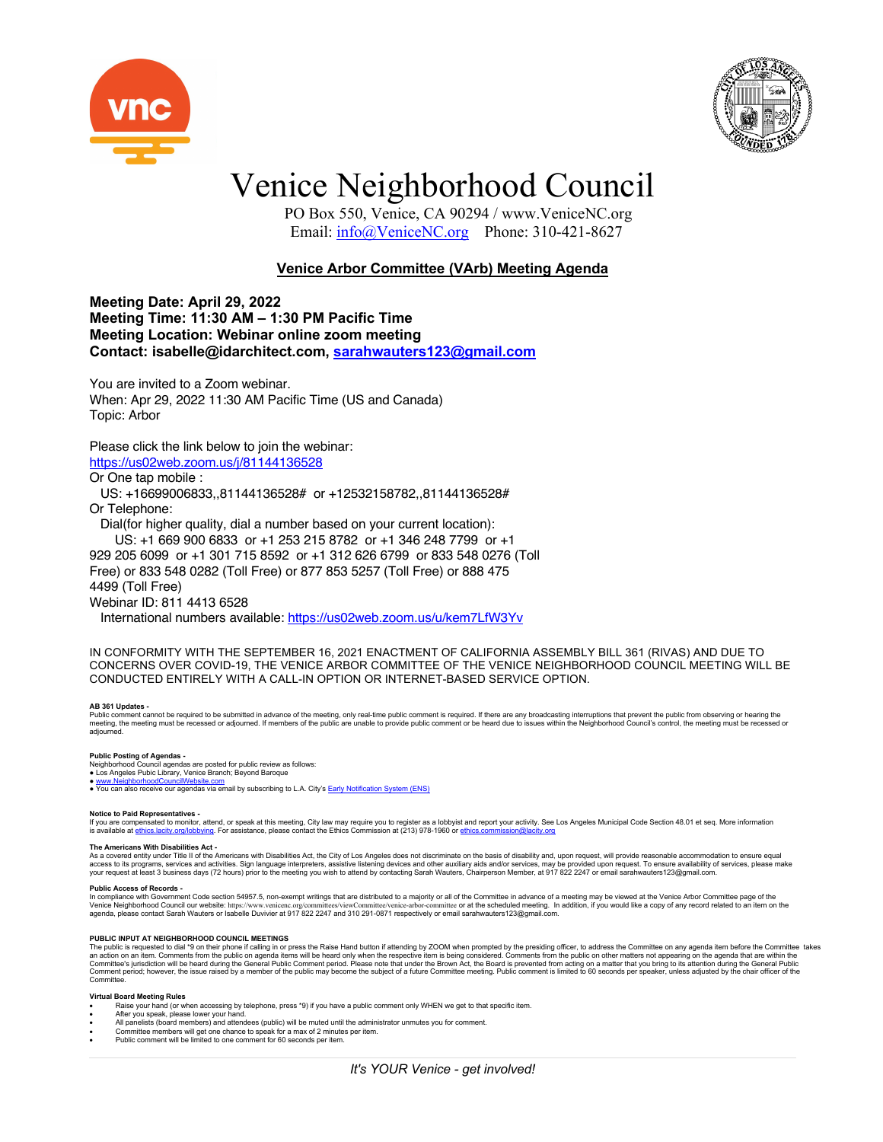



# Venice Neighborhood Council

 PO Box 550, Venice, CA 90294 / www.VeniceNC.org Email: info@VeniceNC.org Phone: 310-421-8627

# **Venice Arbor Committee (VArb) Meeting Agenda**

**Meeting Date: April 29, 2022 Meeting Time: 11:30 AM – 1:30 PM Pacific Time Meeting Location: Webinar online zoom meeting Contact: isabelle@idarchitect.com, sarahwauters123@gmail.com**

You are invited to a Zoom webinar. When: Apr 29, 2022 11:30 AM Pacific Time (US and Canada) Topic: Arbor

## Please click the link below to join the webinar: https://us02web.zoom.us/j/81144136528

Or One tap mobile :

 US: +16699006833,,81144136528# or +12532158782,,81144136528# Or Telephone:

Dial(for higher quality, dial a number based on your current location):

US: +1 669 900 6833 or +1 253 215 8782 or +1 346 248 7799 or +1

929 205 6099 or +1 301 715 8592 or +1 312 626 6799 or 833 548 0276 (Toll

Free) or 833 548 0282 (Toll Free) or 877 853 5257 (Toll Free) or 888 475

4499 (Toll Free)

Webinar ID: 811 4413 6528

International numbers available: https://us02web.zoom.us/u/kem7LfW3Yv

IN CONFORMITY WITH THE SEPTEMBER 16, 2021 ENACTMENT OF CALIFORNIA ASSEMBLY BILL 361 (RIVAS) AND DUE TO CONCERNS OVER COVID-19, THE VENICE ARBOR COMMITTEE OF THE VENICE NEIGHBORHOOD COUNCIL MEETING WILL BE CONDUCTED ENTIRELY WITH A CALL-IN OPTION OR INTERNET-BASED SERVICE OPTION.

**AB 361 Updates -**<br>Public comment cannot be required to be submitted in advance of the meeting, only real-time public comment is required. If there are any broadcasting interruptions that prevent the public from observing adjourned.

**Public Posting of Agendas -**<br>Neighborhood Council agendas are posted for public review as follows:<br>● Los Angeles Pubic Library, Venice Branch; Beyond Baroque

● <u>www.NeighborhoodCouncilWebsite.com</u><br>● You can also receive our agendas via email by subscribing to L.A. City's <u>Early Notification System (ENS)</u>

**Notice to Paid Representatives -**<br>If you are compensated to monitor, attend, or speak at this meeting, City law may require you to register as a lobbyist and report your activity. See Los Angeles Municipal Code Section 48

### **The Americans With Disabilities Act -**

As a covered entity under Title II of the Americans with Disabilities Act, the City of Los Angeles does not discriminate on the basis of disability and, upon request, will provide reasonable accommodation to ensure equal<br>a

### **Public Access of Records -**

In compliance with Government Code section 54957.5, non-exempt writings that are distributed to a majority or all of the Committee in advance of a meeting may be viewed at the Venice Arbor Committee page of the Venice Arb

### **PUBLIC INPUT AT NEIGHBORHOOD COUNCIL MEETINGS**

The public is requested to dial \*9 on their phone if calling in or press the Raise Hand button if attending by ZOOM when prompted by the presiding officer, to address the Committee on any agenda item before the Committee t Committee.

### **Virtual Board Meeting Rules**

- Raise your hand (or when accessing by telephone, press \*9) if you have a public comment only WHEN we get to that specific item.
- After you speak, please lower your hand.
- All panelists (board members) and attendees (public) will be muted until the administrator unmutes you for comment.<br>● Committee members will get one chance to speak for a max of 2 minutes per item.<br>● Public comment will
-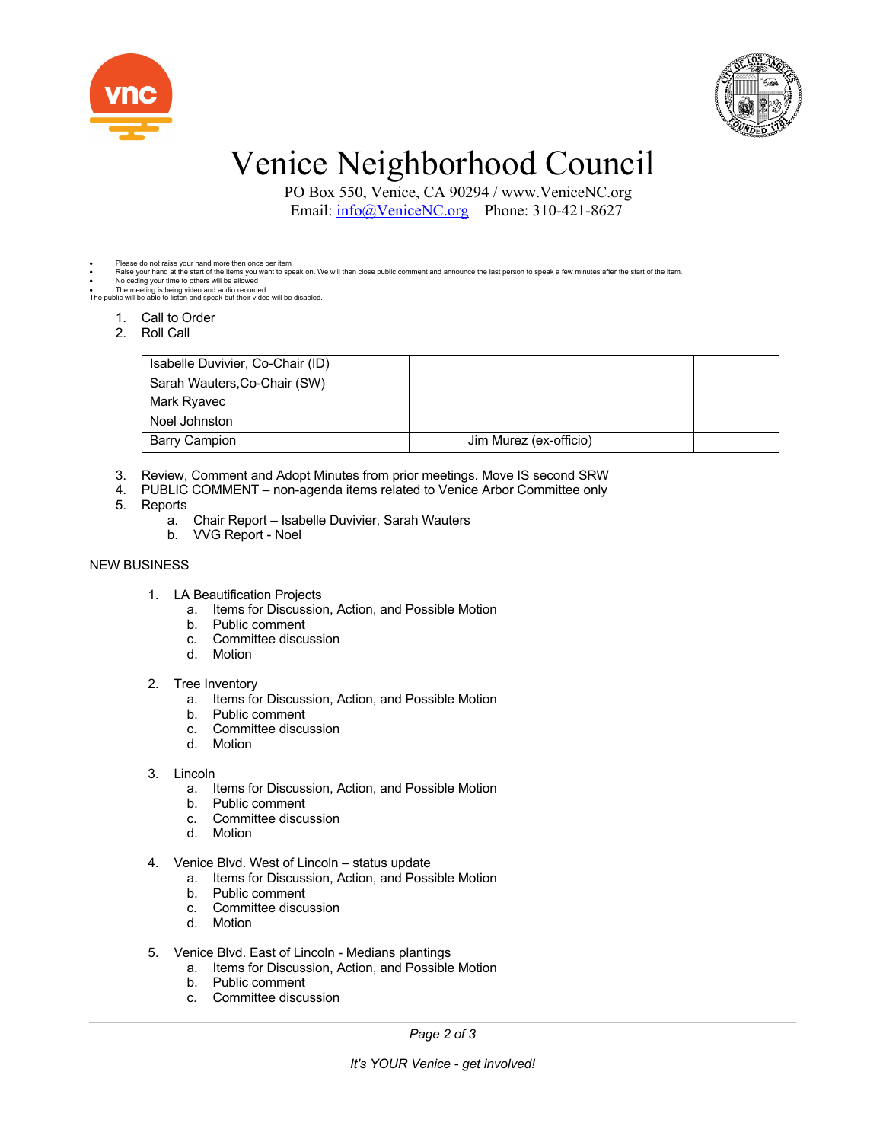



# Venice Neighborhood Council

 PO Box 550, Venice, CA 90294 / www.VeniceNC.org Email: info@VeniceNC.org Phone: 310-421-8627

- Please do not raise your hand more then once per item
- Raise your hand at the start of the items you want to speak on. We will then close public comment and announce the last person to speak a few minutes after the start of the item.<br>● The meeting is being video and audio r

- - 1. Call to Order
	- 2. Roll Call

| Isabelle Duvivier, Co-Chair (ID) |                        |  |
|----------------------------------|------------------------|--|
| Sarah Wauters, Co-Chair (SW)     |                        |  |
| Mark Ryavec                      |                        |  |
| Noel Johnston                    |                        |  |
| <b>Barry Campion</b>             | Jim Murez (ex-officio) |  |

- 3. Review, Comment and Adopt Minutes from prior meetings. Move IS second SRW
- 4. PUBLIC COMMENT non-agenda items related to Venice Arbor Committee only
- 5. Reports
	- a. Chair Report Isabelle Duvivier, Sarah Wauters
	- b. VVG Report Noel

# NEW BUSINESS

- 1. LA Beautification Projects
	- a. Items for Discussion, Action, and Possible Motion
	- b. Public comment
	- c. Committee discussion
	- d. Motion

## 2. Tree Inventory

- a. Items for Discussion, Action, and Possible Motion
- b. Public comment
- c. Committee discussion
- d. Motion

## 3. Lincoln

- a. Items for Discussion, Action, and Possible Motion
- b. Public comment
- c. Committee discussion
- d. Motion
- 4. Venice Blvd. West of Lincoln status update
	- a. Items for Discussion, Action, and Possible Motion
	- b. Public comment
	- c. Committee discussion
	- d. Motion
- 5. Venice Blvd. East of Lincoln Medians plantings
	- a. Items for Discussion, Action, and Possible Motion
		- b. Public comment
		- c. Committee discussion

*Page 2 of 3*